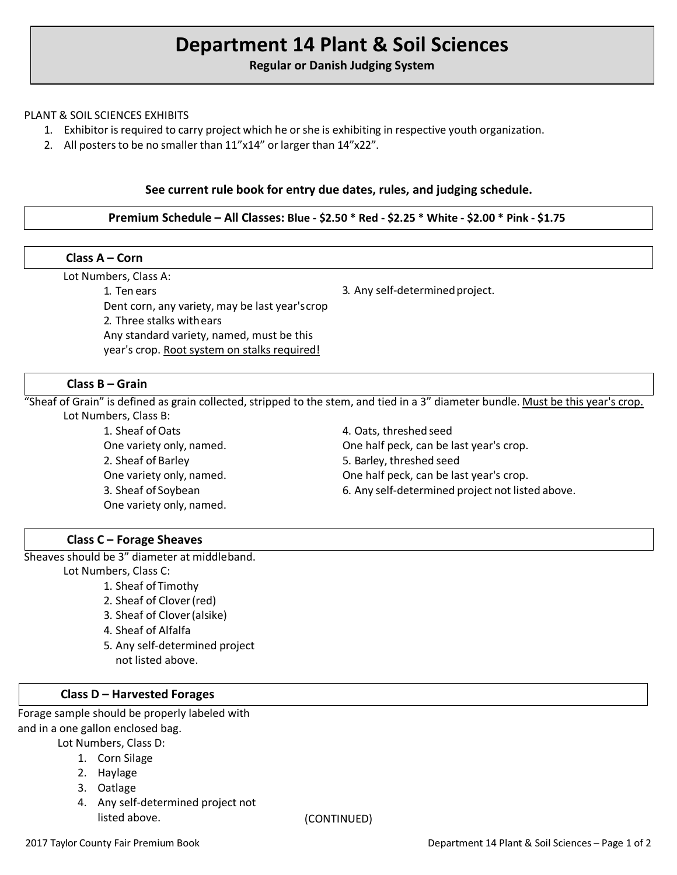# **Department 14 Plant & Soil Sciences**

# **Regular or Danish Judging System**

#### PLANT & SOIL SCIENCES EXHIBITS

- 1. Exhibitor is required to carry project which he orshe is exhibiting in respective youth organization.
- 2. All posters to be no smaller than 11"x14" or larger than 14"x22".

#### **See current rule book for entry due dates, rules, and judging schedule.**

## **Premium Schedule – All Classes: Blue - \$2.50 \* Red - \$2.25 \* White - \$2.00 \* Pink - \$1.75**

| Class $A - Corn$                                |                                 |
|-------------------------------------------------|---------------------------------|
| Lot Numbers, Class A:                           |                                 |
| 1. Ten ears                                     | 3. Any self-determined project. |
| Dent corn, any variety, may be last year's crop |                                 |
| 2. Three stalks with ears                       |                                 |
| Any standard variety, named, must be this       |                                 |
| year's crop. Root system on stalks required!    |                                 |

### **Class B – Grain**

"Sheaf of Grain" is defined as grain collected, stripped to the stem, and tied in a 3" diameter bundle. Must be this year's crop. Lot Numbers, Class B:

> 1. Sheaf of Oats One variety only, named. 2. Sheaf of Barley One variety only, named. 3. Sheaf of Soybean One variety only, named.

4. Oats, threshed seed One half peck, can be last year's crop. 5. Barley, threshed seed One half peck, can be last year's crop. 6. Any self-determined project not listed above.

## **Class C – Forage Sheaves**

Sheaves should be 3" diameter at middleband.

Lot Numbers, Class C:

- 1. Sheaf of Timothy
- 2. Sheaf of Clover(red)
- 3. Sheaf of Clover(alsike)
- 4. Sheaf of Alfalfa
- 5. Any self-determined project not listed above.

#### **Class D – Harvested Forages**

Forage sample should be properly labeled with and in a one gallon enclosed bag.

- Lot Numbers, Class D:
	- 1. Corn Silage
	- 2. Haylage
	- 3. Oatlage
	- 4. Any self-determined project not listed above. (CONTINUED)